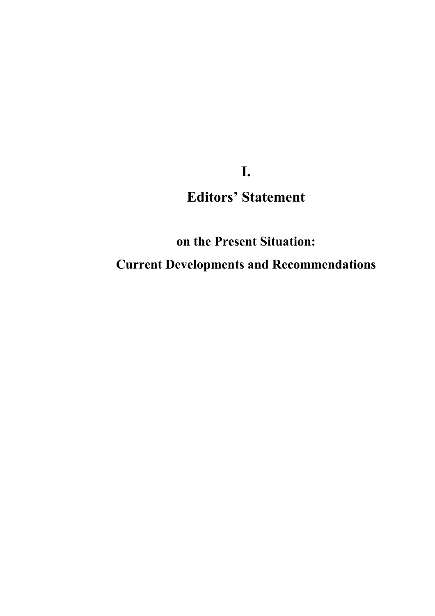# **I. Editors' Statement**

**on the Present Situation: Current Developments and Recommendations**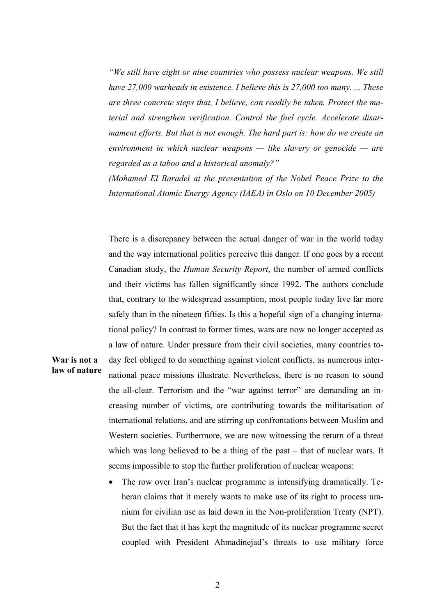*"We still have eight or nine countries who possess nuclear weapons. We still have 27,000 warheads in existence. I believe this is 27,000 too many. ... These are three concrete steps that, I believe, can readily be taken. Protect the material and strengthen verification. Control the fuel cycle. Accelerate disarmament efforts. But that is not enough. The hard part is: how do we create an environment in which nuclear weapons — like slavery or genocide — are regarded as a taboo and a historical anomaly?"* 

*(Mohamed El Baradei at the presentation of the Nobel Peace Prize to the International Atomic Energy Agency (IAEA) in Oslo on 10 December 2005)* 

There is a discrepancy between the actual danger of war in the world today and the way international politics perceive this danger. If one goes by a recent Canadian study, the *Human Security Report*, the number of armed conflicts and their victims has fallen significantly since 1992. The authors conclude that, contrary to the widespread assumption, most people today live far more safely than in the nineteen fifties. Is this a hopeful sign of a changing international policy? In contrast to former times, wars are now no longer accepted as a law of nature. Under pressure from their civil societies, many countries today feel obliged to do something against violent conflicts, as numerous international peace missions illustrate. Nevertheless, there is no reason to sound the all-clear. Terrorism and the "war against terror" are demanding an increasing number of victims, are contributing towards the militarisation of international relations, and are stirring up confrontations between Muslim and Western societies. Furthermore, we are now witnessing the return of a threat which was long believed to be a thing of the past – that of nuclear wars. It seems impossible to stop the further proliferation of nuclear weapons:

**War is not a law of nature**

> The row over Iran's nuclear programme is intensifying dramatically. Teheran claims that it merely wants to make use of its right to process uranium for civilian use as laid down in the Non-proliferation Treaty (NPT). But the fact that it has kept the magnitude of its nuclear programme secret coupled with President Ahmadinejad's threats to use military force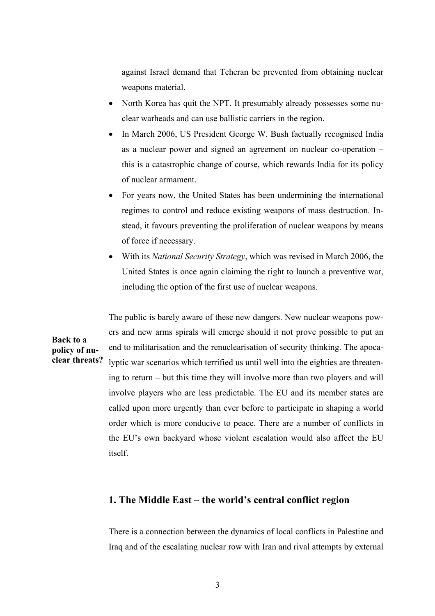against Israel demand that Teheran be prevented from obtaining nuclear weapons material.

- North Korea has quit the NPT. It presumably already possesses some nuclear warheads and can use ballistic carriers in the region.
- In March 2006, US President George W. Bush factually recognised India as a nuclear power and signed an agreement on nuclear co-operation – this is a catastrophic change of course, which rewards India for its policy of nuclear armament.
- For years now, the United States has been undermining the international regimes to control and reduce existing weapons of mass destruction. Instead, it favours preventing the proliferation of nuclear weapons by means of force if necessary.
- With its *National Security Strategy*, which was revised in March 2006, the United States is once again claiming the right to launch a preventive war, including the option of the first use of nuclear weapons.

**clear threats?** The public is barely aware of these new dangers. New nuclear weapons powers and new arms spirals will emerge should it not prove possible to put an end to militarisation and the renuclearisation of security thinking. The apocalyptic war scenarios which terrified us until well into the eighties are threatening to return – but this time they will involve more than two players and will involve players who are less predictable. The EU and its member states are called upon more urgently than ever before to participate in shaping a world order which is more conducive to peace. There are a number of conflicts in the EU's own backyard whose violent escalation would also affect the EU itself.

**Back to a policy of nu-**

## **1. The Middle East – the world's central conflict region**

There is a connection between the dynamics of local conflicts in Palestine and Iraq and of the escalating nuclear row with Iran and rival attempts by external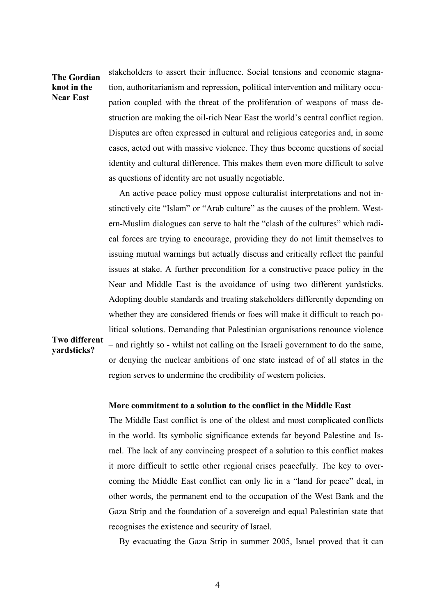## **The Gordian knot in the Near East**

stakeholders to assert their influence. Social tensions and economic stagnation, authoritarianism and repression, political intervention and military occupation coupled with the threat of the proliferation of weapons of mass destruction are making the oil-rich Near East the world's central conflict region. Disputes are often expressed in cultural and religious categories and, in some cases, acted out with massive violence. They thus become questions of social identity and cultural difference. This makes them even more difficult to solve as questions of identity are not usually negotiable.

An active peace policy must oppose culturalist interpretations and not instinctively cite "Islam" or "Arab culture" as the causes of the problem. Western-Muslim dialogues can serve to halt the "clash of the cultures" which radical forces are trying to encourage, providing they do not limit themselves to issuing mutual warnings but actually discuss and critically reflect the painful issues at stake. A further precondition for a constructive peace policy in the Near and Middle East is the avoidance of using two different yardsticks. Adopting double standards and treating stakeholders differently depending on whether they are considered friends or foes will make it difficult to reach political solutions. Demanding that Palestinian organisations renounce violence

## **Two different yardsticks?**

– and rightly so - whilst not calling on the Israeli government to do the same, or denying the nuclear ambitions of one state instead of of all states in the region serves to undermine the credibility of western policies.

## **More commitment to a solution to the conflict in the Middle East**

The Middle East conflict is one of the oldest and most complicated conflicts in the world. Its symbolic significance extends far beyond Palestine and Israel. The lack of any convincing prospect of a solution to this conflict makes it more difficult to settle other regional crises peacefully. The key to overcoming the Middle East conflict can only lie in a "land for peace" deal, in other words, the permanent end to the occupation of the West Bank and the Gaza Strip and the foundation of a sovereign and equal Palestinian state that recognises the existence and security of Israel.

By evacuating the Gaza Strip in summer 2005, Israel proved that it can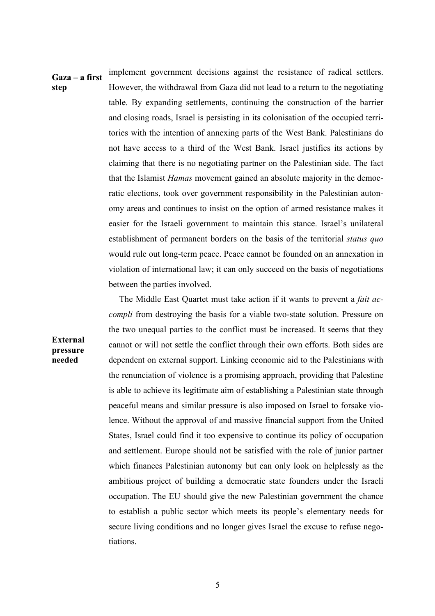**Gaza – a first step** implement government decisions against the resistance of radical settlers. However, the withdrawal from Gaza did not lead to a return to the negotiating table. By expanding settlements, continuing the construction of the barrier and closing roads, Israel is persisting in its colonisation of the occupied territories with the intention of annexing parts of the West Bank. Palestinians do not have access to a third of the West Bank. Israel justifies its actions by claiming that there is no negotiating partner on the Palestinian side. The fact that the Islamist *Hamas* movement gained an absolute majority in the democratic elections, took over government responsibility in the Palestinian autonomy areas and continues to insist on the option of armed resistance makes it easier for the Israeli government to maintain this stance. Israel's unilateral establishment of permanent borders on the basis of the territorial *status quo*  would rule out long-term peace. Peace cannot be founded on an annexation in violation of international law; it can only succeed on the basis of negotiations between the parties involved.

> The Middle East Quartet must take action if it wants to prevent a *fait accompli* from destroying the basis for a viable two-state solution. Pressure on the two unequal parties to the conflict must be increased. It seems that they cannot or will not settle the conflict through their own efforts. Both sides are dependent on external support. Linking economic aid to the Palestinians with the renunciation of violence is a promising approach, providing that Palestine is able to achieve its legitimate aim of establishing a Palestinian state through peaceful means and similar pressure is also imposed on Israel to forsake violence. Without the approval of and massive financial support from the United States, Israel could find it too expensive to continue its policy of occupation and settlement. Europe should not be satisfied with the role of junior partner which finances Palestinian autonomy but can only look on helplessly as the ambitious project of building a democratic state founders under the Israeli occupation. The EU should give the new Palestinian government the chance to establish a public sector which meets its people's elementary needs for secure living conditions and no longer gives Israel the excuse to refuse negotiations.

## **External pressure needed**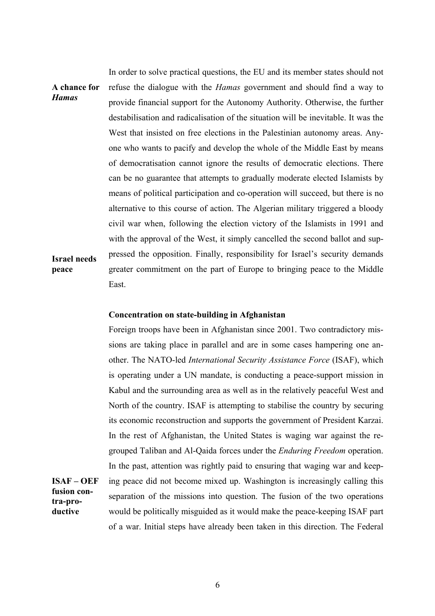**A chance for**  *Hamas* **Israel needs peace** In order to solve practical questions, the EU and its member states should not refuse the dialogue with the *Hamas* government and should find a way to provide financial support for the Autonomy Authority. Otherwise, the further destabilisation and radicalisation of the situation will be inevitable. It was the West that insisted on free elections in the Palestinian autonomy areas. Anyone who wants to pacify and develop the whole of the Middle East by means of democratisation cannot ignore the results of democratic elections. There can be no guarantee that attempts to gradually moderate elected Islamists by means of political participation and co-operation will succeed, but there is no alternative to this course of action. The Algerian military triggered a bloody civil war when, following the election victory of the Islamists in 1991 and with the approval of the West, it simply cancelled the second ballot and suppressed the opposition. Finally, responsibility for Israel's security demands greater commitment on the part of Europe to bringing peace to the Middle East.

### **Concentration on state-building in Afghanistan**

**fusion contra-productive**

**ISAF – OEF**  Foreign troops have been in Afghanistan since 2001. Two contradictory missions are taking place in parallel and are in some cases hampering one another. The NATO-led *International Security Assistance Force* (ISAF), which is operating under a UN mandate, is conducting a peace-support mission in Kabul and the surrounding area as well as in the relatively peaceful West and North of the country. ISAF is attempting to stabilise the country by securing its economic reconstruction and supports the government of President Karzai. In the rest of Afghanistan, the United States is waging war against the regrouped Taliban and Al-Qaida forces under the *Enduring Freedom* operation. In the past, attention was rightly paid to ensuring that waging war and keeping peace did not become mixed up. Washington is increasingly calling this separation of the missions into question. The fusion of the two operations would be politically misguided as it would make the peace-keeping ISAF part of a war. Initial steps have already been taken in this direction. The Federal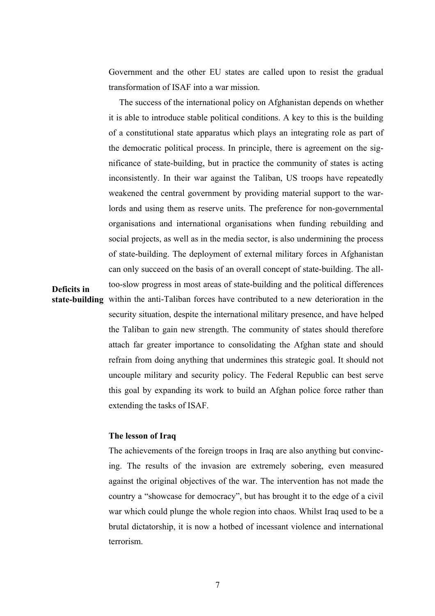Government and the other EU states are called upon to resist the gradual transformation of ISAF into a war mission.

**state-building** within the anti-Taliban forces have contributed to a new deterioration in the The success of the international policy on Afghanistan depends on whether it is able to introduce stable political conditions. A key to this is the building of a constitutional state apparatus which plays an integrating role as part of the democratic political process. In principle, there is agreement on the significance of state-building, but in practice the community of states is acting inconsistently. In their war against the Taliban, US troops have repeatedly weakened the central government by providing material support to the warlords and using them as reserve units. The preference for non-governmental organisations and international organisations when funding rebuilding and social projects, as well as in the media sector, is also undermining the process of state-building. The deployment of external military forces in Afghanistan can only succeed on the basis of an overall concept of state-building. The alltoo-slow progress in most areas of state-building and the political differences security situation, despite the international military presence, and have helped the Taliban to gain new strength. The community of states should therefore attach far greater importance to consolidating the Afghan state and should refrain from doing anything that undermines this strategic goal. It should not uncouple military and security policy. The Federal Republic can best serve this goal by expanding its work to build an Afghan police force rather than extending the tasks of ISAF.

## **The lesson of Iraq**

**Deficits in** 

The achievements of the foreign troops in Iraq are also anything but convincing. The results of the invasion are extremely sobering, even measured against the original objectives of the war. The intervention has not made the country a "showcase for democracy", but has brought it to the edge of a civil war which could plunge the whole region into chaos. Whilst Iraq used to be a brutal dictatorship, it is now a hotbed of incessant violence and international terrorism.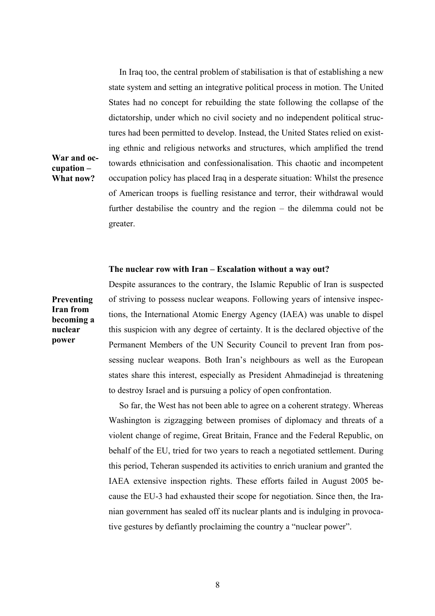In Iraq too, the central problem of stabilisation is that of establishing a new state system and setting an integrative political process in motion. The United States had no concept for rebuilding the state following the collapse of the dictatorship, under which no civil society and no independent political structures had been permitted to develop. Instead, the United States relied on existing ethnic and religious networks and structures, which amplified the trend towards ethnicisation and confessionalisation. This chaotic and incompetent occupation policy has placed Iraq in a desperate situation: Whilst the presence of American troops is fuelling resistance and terror, their withdrawal would further destabilise the country and the region – the dilemma could not be greater.

#### **The nuclear row with Iran – Escalation without a way out?**

**Preventing Iran from becoming a nuclear power**

**War and occupation – What now?**

> Despite assurances to the contrary, the Islamic Republic of Iran is suspected of striving to possess nuclear weapons. Following years of intensive inspections, the International Atomic Energy Agency (IAEA) was unable to dispel this suspicion with any degree of certainty. It is the declared objective of the Permanent Members of the UN Security Council to prevent Iran from possessing nuclear weapons. Both Iran's neighbours as well as the European states share this interest, especially as President Ahmadinejad is threatening to destroy Israel and is pursuing a policy of open confrontation.

> So far, the West has not been able to agree on a coherent strategy. Whereas Washington is zigzagging between promises of diplomacy and threats of a violent change of regime, Great Britain, France and the Federal Republic, on behalf of the EU, tried for two years to reach a negotiated settlement. During this period, Teheran suspended its activities to enrich uranium and granted the IAEA extensive inspection rights. These efforts failed in August 2005 because the EU-3 had exhausted their scope for negotiation. Since then, the Iranian government has sealed off its nuclear plants and is indulging in provocative gestures by defiantly proclaiming the country a "nuclear power".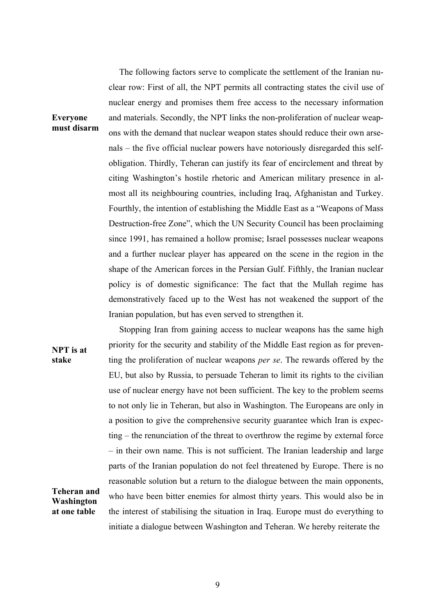The following factors serve to complicate the settlement of the Iranian nuclear row: First of all, the NPT permits all contracting states the civil use of nuclear energy and promises them free access to the necessary information and materials. Secondly, the NPT links the non-proliferation of nuclear weapons with the demand that nuclear weapon states should reduce their own arsenals – the five official nuclear powers have notoriously disregarded this selfobligation. Thirdly, Teheran can justify its fear of encirclement and threat by citing Washington's hostile rhetoric and American military presence in almost all its neighbouring countries, including Iraq, Afghanistan and Turkey. Fourthly, the intention of establishing the Middle East as a "Weapons of Mass Destruction-free Zone", which the UN Security Council has been proclaiming since 1991, has remained a hollow promise; Israel possesses nuclear weapons and a further nuclear player has appeared on the scene in the region in the shape of the American forces in the Persian Gulf. Fifthly, the Iranian nuclear policy is of domestic significance: The fact that the Mullah regime has demonstratively faced up to the West has not weakened the support of the Iranian population, but has even served to strengthen it.

**NPT is at Teheran and Washington at one table** Stopping Iran from gaining access to nuclear weapons has the same high priority for the security and stability of the Middle East region as for preventing the proliferation of nuclear weapons *per se*. The rewards offered by the EU, but also by Russia, to persuade Teheran to limit its rights to the civilian use of nuclear energy have not been sufficient. The key to the problem seems to not only lie in Teheran, but also in Washington. The Europeans are only in a position to give the comprehensive security guarantee which Iran is expecting – the renunciation of the threat to overthrow the regime by external force – in their own name. This is not sufficient. The Iranian leadership and large parts of the Iranian population do not feel threatened by Europe. There is no reasonable solution but a return to the dialogue between the main opponents, who have been bitter enemies for almost thirty years. This would also be in the interest of stabilising the situation in Iraq. Europe must do everything to initiate a dialogue between Washington and Teheran. We hereby reiterate the

## **Everyone must disarm**

**stake**

9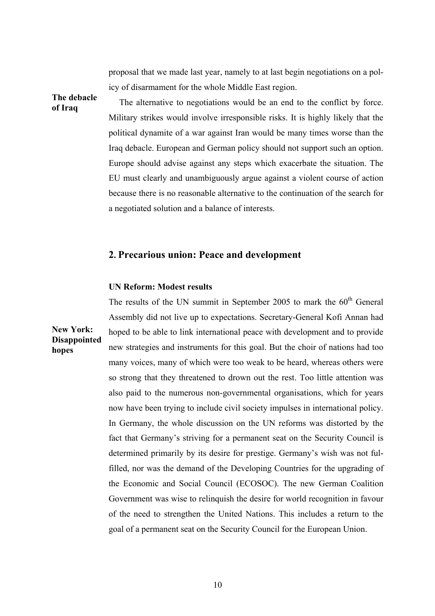proposal that we made last year, namely to at last begin negotiations on a policy of disarmament for the whole Middle East region.

**The debacle of Iraq**

**hopes**

The alternative to negotiations would be an end to the conflict by force. Military strikes would involve irresponsible risks. It is highly likely that the political dynamite of a war against Iran would be many times worse than the Iraq debacle. European and German policy should not support such an option. Europe should advise against any steps which exacerbate the situation. The EU must clearly and unambiguously argue against a violent course of action because there is no reasonable alternative to the continuation of the search for a negotiated solution and a balance of interests.

## **2. Precarious union: Peace and development**

## **UN Reform: Modest results**

**New York: Disappointed**  The results of the UN summit in September 2005 to mark the  $60<sup>th</sup>$  General Assembly did not live up to expectations. Secretary-General Kofi Annan had hoped to be able to link international peace with development and to provide new strategies and instruments for this goal. But the choir of nations had too many voices, many of which were too weak to be heard, whereas others were so strong that they threatened to drown out the rest. Too little attention was also paid to the numerous non-governmental organisations, which for years now have been trying to include civil society impulses in international policy. In Germany, the whole discussion on the UN reforms was distorted by the fact that Germany's striving for a permanent seat on the Security Council is determined primarily by its desire for prestige. Germany's wish was not fulfilled, nor was the demand of the Developing Countries for the upgrading of the Economic and Social Council (ECOSOC). The new German Coalition Government was wise to relinquish the desire for world recognition in favour of the need to strengthen the United Nations. This includes a return to the goal of a permanent seat on the Security Council for the European Union.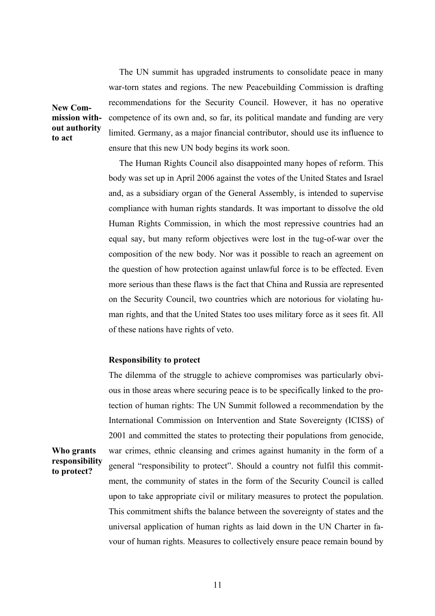The UN summit has upgraded instruments to consolidate peace in many war-torn states and regions. The new Peacebuilding Commission is drafting recommendations for the Security Council. However, it has no operative competence of its own and, so far, its political mandate and funding are very limited. Germany, as a major financial contributor, should use its influence to ensure that this new UN body begins its work soon.

**New Commission without authority to act**

**Who grants** 

**to protect?** 

The Human Rights Council also disappointed many hopes of reform. This body was set up in April 2006 against the votes of the United States and Israel and, as a subsidiary organ of the General Assembly, is intended to supervise compliance with human rights standards. It was important to dissolve the old Human Rights Commission, in which the most repressive countries had an equal say, but many reform objectives were lost in the tug-of-war over the composition of the new body. Nor was it possible to reach an agreement on the question of how protection against unlawful force is to be effected. Even more serious than these flaws is the fact that China and Russia are represented on the Security Council, two countries which are notorious for violating human rights, and that the United States too uses military force as it sees fit. All of these nations have rights of veto.

## **Responsibility to protect**

**responsibility**  The dilemma of the struggle to achieve compromises was particularly obvious in those areas where securing peace is to be specifically linked to the protection of human rights: The UN Summit followed a recommendation by the International Commission on Intervention and State Sovereignty (ICISS) of 2001 and committed the states to protecting their populations from genocide, war crimes, ethnic cleansing and crimes against humanity in the form of a general "responsibility to protect". Should a country not fulfil this commitment, the community of states in the form of the Security Council is called upon to take appropriate civil or military measures to protect the population. This commitment shifts the balance between the sovereignty of states and the universal application of human rights as laid down in the UN Charter in favour of human rights. Measures to collectively ensure peace remain bound by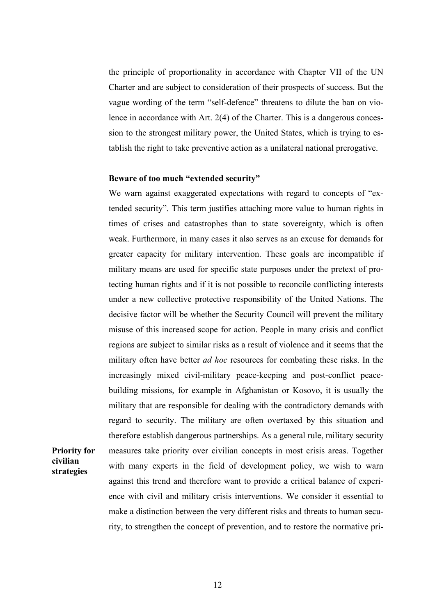the principle of proportionality in accordance with Chapter VII of the UN Charter and are subject to consideration of their prospects of success. But the vague wording of the term "self-defence" threatens to dilute the ban on violence in accordance with Art. 2(4) of the Charter. This is a dangerous concession to the strongest military power, the United States, which is trying to establish the right to take preventive action as a unilateral national prerogative.

#### **Beware of too much "extended security"**

**Priority for civilian strategies** 

We warn against exaggerated expectations with regard to concepts of "extended security". This term justifies attaching more value to human rights in times of crises and catastrophes than to state sovereignty, which is often weak. Furthermore, in many cases it also serves as an excuse for demands for greater capacity for military intervention. These goals are incompatible if military means are used for specific state purposes under the pretext of protecting human rights and if it is not possible to reconcile conflicting interests under a new collective protective responsibility of the United Nations. The decisive factor will be whether the Security Council will prevent the military misuse of this increased scope for action. People in many crisis and conflict regions are subject to similar risks as a result of violence and it seems that the military often have better *ad hoc* resources for combating these risks. In the increasingly mixed civil-military peace-keeping and post-conflict peacebuilding missions, for example in Afghanistan or Kosovo, it is usually the military that are responsible for dealing with the contradictory demands with regard to security. The military are often overtaxed by this situation and therefore establish dangerous partnerships. As a general rule, military security measures take priority over civilian concepts in most crisis areas. Together with many experts in the field of development policy, we wish to warn against this trend and therefore want to provide a critical balance of experience with civil and military crisis interventions. We consider it essential to make a distinction between the very different risks and threats to human security, to strengthen the concept of prevention, and to restore the normative pri-

#### 12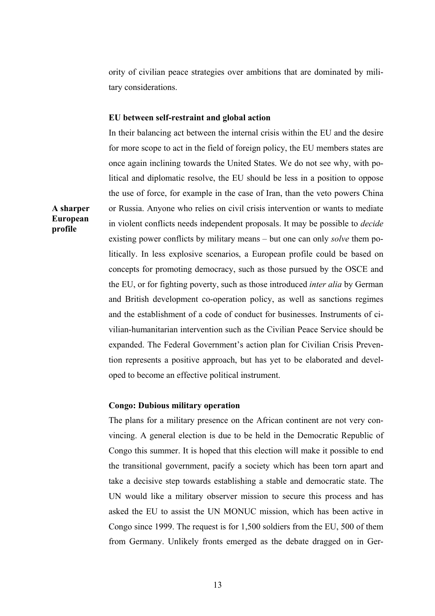ority of civilian peace strategies over ambitions that are dominated by military considerations.

#### **EU between self-restraint and global action**

In their balancing act between the internal crisis within the EU and the desire for more scope to act in the field of foreign policy, the EU members states are once again inclining towards the United States. We do not see why, with political and diplomatic resolve, the EU should be less in a position to oppose the use of force, for example in the case of Iran, than the veto powers China or Russia. Anyone who relies on civil crisis intervention or wants to mediate in violent conflicts needs independent proposals. It may be possible to *decide* existing power conflicts by military means – but one can only *solve* them politically. In less explosive scenarios, a European profile could be based on concepts for promoting democracy, such as those pursued by the OSCE and the EU, or for fighting poverty, such as those introduced *inter alia* by German and British development co-operation policy, as well as sanctions regimes and the establishment of a code of conduct for businesses. Instruments of civilian-humanitarian intervention such as the Civilian Peace Service should be expanded. The Federal Government's action plan for Civilian Crisis Prevention represents a positive approach, but has yet to be elaborated and developed to become an effective political instrument.

#### **Congo: Dubious military operation**

The plans for a military presence on the African continent are not very convincing. A general election is due to be held in the Democratic Republic of Congo this summer. It is hoped that this election will make it possible to end the transitional government, pacify a society which has been torn apart and take a decisive step towards establishing a stable and democratic state. The UN would like a military observer mission to secure this process and has asked the EU to assist the UN MONUC mission, which has been active in Congo since 1999. The request is for 1,500 soldiers from the EU, 500 of them from Germany. Unlikely fronts emerged as the debate dragged on in Ger-

**A sharper European profile**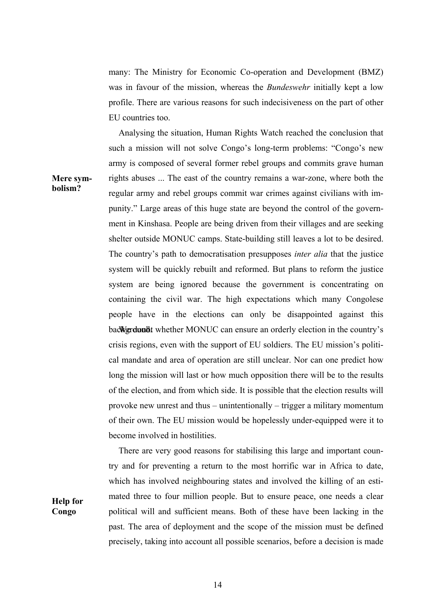many: The Ministry for Economic Co-operation and Development (BMZ) was in favour of the mission, whereas the *Bundeswehr* initially kept a low profile. There are various reasons for such indecisiveness on the part of other EU countries too.

Analysing the situation, Human Rights Watch reached the conclusion that such a mission will not solve Congo's long-term problems: "Congo's new army is composed of several former rebel groups and commits grave human rights abuses ... The east of the country remains a war-zone, where both the regular army and rebel groups commit war crimes against civilians with impunity." Large areas of this huge state are beyond the control of the government in Kinshasa. People are being driven from their villages and are seeking shelter outside MONUC camps. State-building still leaves a lot to be desired. The country's path to democratisation presupposes *inter alia* that the justice system will be quickly rebuilt and reformed. But plans to reform the justice system are being ignored because the government is concentrating on containing the civil war. The high expectations which many Congolese people have in the elections can only be disappointed against this background whether MONUC can ensure an orderly election in the country's crisis regions, even with the support of EU soldiers. The EU mission's political mandate and area of operation are still unclear. Nor can one predict how long the mission will last or how much opposition there will be to the results of the election, and from which side. It is possible that the election results will provoke new unrest and thus – unintentionally – trigger a military momentum of their own. The EU mission would be hopelessly under-equipped were it to become involved in hostilities.

There are very good reasons for stabilising this large and important country and for preventing a return to the most horrific war in Africa to date, which has involved neighbouring states and involved the killing of an estimated three to four million people. But to ensure peace, one needs a clear political will and sufficient means. Both of these have been lacking in the past. The area of deployment and the scope of the mission must be defined precisely, taking into account all possible scenarios, before a decision is made

**Mere symbolism?**

**Help for Congo**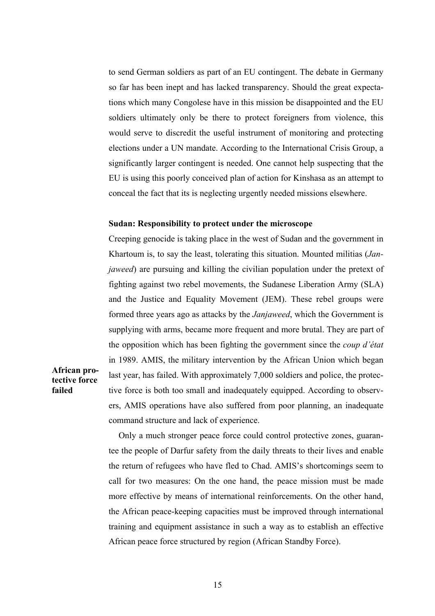to send German soldiers as part of an EU contingent. The debate in Germany so far has been inept and has lacked transparency. Should the great expectations which many Congolese have in this mission be disappointed and the EU soldiers ultimately only be there to protect foreigners from violence, this would serve to discredit the useful instrument of monitoring and protecting elections under a UN mandate. According to the International Crisis Group, a significantly larger contingent is needed. One cannot help suspecting that the EU is using this poorly conceived plan of action for Kinshasa as an attempt to conceal the fact that its is neglecting urgently needed missions elsewhere.

#### **Sudan: Responsibility to protect under the microscope**

Creeping genocide is taking place in the west of Sudan and the government in Khartoum is, to say the least, tolerating this situation. Mounted militias (*Janjaweed*) are pursuing and killing the civilian population under the pretext of fighting against two rebel movements, the Sudanese Liberation Army (SLA) and the Justice and Equality Movement (JEM). These rebel groups were formed three years ago as attacks by the *Janjaweed*, which the Government is supplying with arms, became more frequent and more brutal. They are part of the opposition which has been fighting the government since the *coup d'état* in 1989. AMIS, the military intervention by the African Union which began last year, has failed. With approximately 7,000 soldiers and police, the protective force is both too small and inadequately equipped. According to observers, AMIS operations have also suffered from poor planning, an inadequate command structure and lack of experience.

**African protective force failed**

> Only a much stronger peace force could control protective zones, guarantee the people of Darfur safety from the daily threats to their lives and enable the return of refugees who have fled to Chad. AMIS's shortcomings seem to call for two measures: On the one hand, the peace mission must be made more effective by means of international reinforcements. On the other hand, the African peace-keeping capacities must be improved through international training and equipment assistance in such a way as to establish an effective African peace force structured by region (African Standby Force).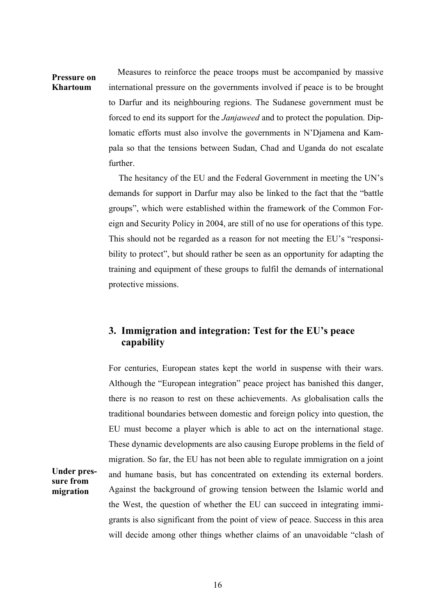**Pressure on Khartoum** Measures to reinforce the peace troops must be accompanied by massive international pressure on the governments involved if peace is to be brought to Darfur and its neighbouring regions. The Sudanese government must be forced to end its support for the *Janjaweed* and to protect the population. Diplomatic efforts must also involve the governments in N'Djamena and Kampala so that the tensions between Sudan, Chad and Uganda do not escalate further.

> The hesitancy of the EU and the Federal Government in meeting the UN's demands for support in Darfur may also be linked to the fact that the "battle groups", which were established within the framework of the Common Foreign and Security Policy in 2004, are still of no use for operations of this type. This should not be regarded as a reason for not meeting the EU's "responsibility to protect", but should rather be seen as an opportunity for adapting the training and equipment of these groups to fulfil the demands of international protective missions.

## **3. Immigration and integration: Test for the EU's peace capability**

For centuries, European states kept the world in suspense with their wars. Although the "European integration" peace project has banished this danger, there is no reason to rest on these achievements. As globalisation calls the traditional boundaries between domestic and foreign policy into question, the EU must become a player which is able to act on the international stage. These dynamic developments are also causing Europe problems in the field of migration. So far, the EU has not been able to regulate immigration on a joint and humane basis, but has concentrated on extending its external borders. Against the background of growing tension between the Islamic world and the West, the question of whether the EU can succeed in integrating immigrants is also significant from the point of view of peace. Success in this area will decide among other things whether claims of an unavoidable "clash of

## **Under pressure from migration**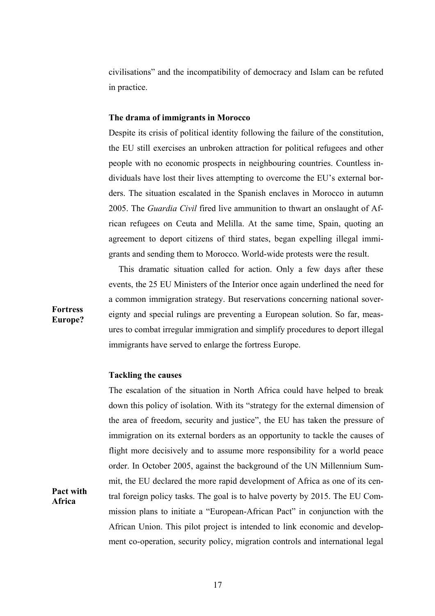civilisations" and the incompatibility of democracy and Islam can be refuted in practice.

#### **The drama of immigrants in Morocco**

Despite its crisis of political identity following the failure of the constitution, the EU still exercises an unbroken attraction for political refugees and other people with no economic prospects in neighbouring countries. Countless individuals have lost their lives attempting to overcome the EU's external borders. The situation escalated in the Spanish enclaves in Morocco in autumn 2005. The *Guardia Civil* fired live ammunition to thwart an onslaught of African refugees on Ceuta and Melilla. At the same time, Spain, quoting an agreement to deport citizens of third states, began expelling illegal immigrants and sending them to Morocco. World-wide protests were the result.

This dramatic situation called for action. Only a few days after these events, the 25 EU Ministers of the Interior once again underlined the need for a common immigration strategy. But reservations concerning national sovereignty and special rulings are preventing a European solution. So far, measures to combat irregular immigration and simplify procedures to deport illegal immigrants have served to enlarge the fortress Europe.

## **Tackling the causes**

The escalation of the situation in North Africa could have helped to break down this policy of isolation. With its "strategy for the external dimension of the area of freedom, security and justice", the EU has taken the pressure of immigration on its external borders as an opportunity to tackle the causes of flight more decisively and to assume more responsibility for a world peace order. In October 2005, against the background of the UN Millennium Summit, the EU declared the more rapid development of Africa as one of its central foreign policy tasks. The goal is to halve poverty by 2015. The EU Commission plans to initiate a "European-African Pact" in conjunction with the African Union. This pilot project is intended to link economic and development co-operation, security policy, migration controls and international legal

**Fortress Europe?**

**Pact with Africa**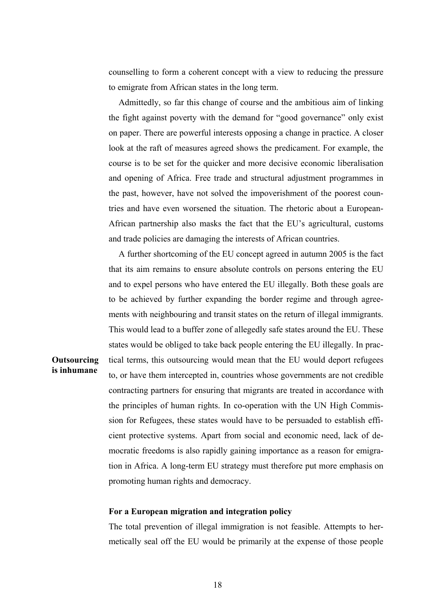counselling to form a coherent concept with a view to reducing the pressure to emigrate from African states in the long term.

Admittedly, so far this change of course and the ambitious aim of linking the fight against poverty with the demand for "good governance" only exist on paper. There are powerful interests opposing a change in practice. A closer look at the raft of measures agreed shows the predicament. For example, the course is to be set for the quicker and more decisive economic liberalisation and opening of Africa. Free trade and structural adjustment programmes in the past, however, have not solved the impoverishment of the poorest countries and have even worsened the situation. The rhetoric about a European-African partnership also masks the fact that the EU's agricultural, customs and trade policies are damaging the interests of African countries.

A further shortcoming of the EU concept agreed in autumn 2005 is the fact that its aim remains to ensure absolute controls on persons entering the EU and to expel persons who have entered the EU illegally. Both these goals are to be achieved by further expanding the border regime and through agreements with neighbouring and transit states on the return of illegal immigrants. This would lead to a buffer zone of allegedly safe states around the EU. These states would be obliged to take back people entering the EU illegally. In practical terms, this outsourcing would mean that the EU would deport refugees to, or have them intercepted in, countries whose governments are not credible contracting partners for ensuring that migrants are treated in accordance with the principles of human rights. In co-operation with the UN High Commission for Refugees, these states would have to be persuaded to establish efficient protective systems. Apart from social and economic need, lack of democratic freedoms is also rapidly gaining importance as a reason for emigration in Africa. A long-term EU strategy must therefore put more emphasis on promoting human rights and democracy.

## **For a European migration and integration policy**

**Outsourcing is inhumane**

> The total prevention of illegal immigration is not feasible. Attempts to hermetically seal off the EU would be primarily at the expense of those people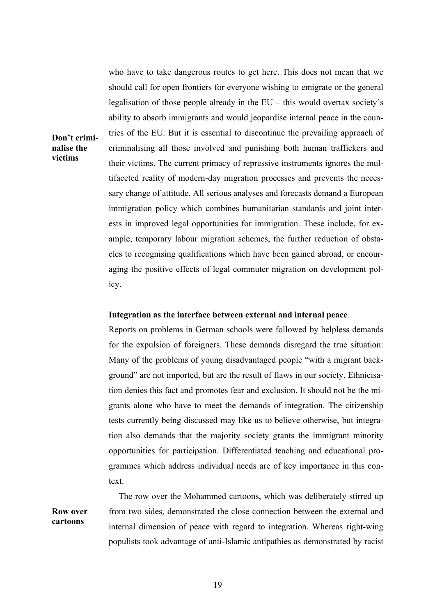who have to take dangerous routes to get here. This does not mean that we should call for open frontiers for everyone wishing to emigrate or the general legalisation of those people already in the EU – this would overtax society's ability to absorb immigrants and would jeopardise internal peace in the countries of the EU. But it is essential to discontinue the prevailing approach of criminalising all those involved and punishing both human traffickers and their victims. The current primacy of repressive instruments ignores the multifaceted reality of modern-day migration processes and prevents the necessary change of attitude. All serious analyses and forecasts demand a European immigration policy which combines humanitarian standards and joint interests in improved legal opportunities for immigration. These include, for example, temporary labour migration schemes, the further reduction of obstacles to recognising qualifications which have been gained abroad, or encouraging the positive effects of legal commuter migration on development policy.

**Don't criminalise the victims**

#### **Integration as the interface between external and internal peace**

Reports on problems in German schools were followed by helpless demands for the expulsion of foreigners. These demands disregard the true situation: Many of the problems of young disadvantaged people "with a migrant background" are not imported, but are the result of flaws in our society. Ethnicisation denies this fact and promotes fear and exclusion. It should not be the migrants alone who have to meet the demands of integration. The citizenship tests currently being discussed may like us to believe otherwise, but integration also demands that the majority society grants the immigrant minority opportunities for participation. Differentiated teaching and educational programmes which address individual needs are of key importance in this context.

**Row over cartoons** The row over the Mohammed cartoons, which was deliberately stirred up from two sides, demonstrated the close connection between the external and internal dimension of peace with regard to integration. Whereas right-wing populists took advantage of anti-Islamic antipathies as demonstrated by racist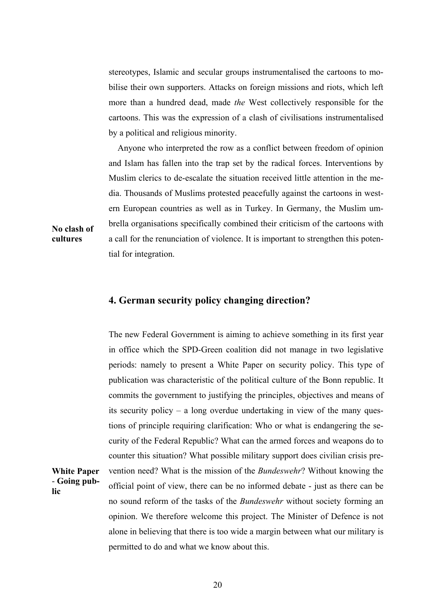stereotypes, Islamic and secular groups instrumentalised the cartoons to mobilise their own supporters. Attacks on foreign missions and riots, which left more than a hundred dead, made *the* West collectively responsible for the cartoons. This was the expression of a clash of civilisations instrumentalised by a political and religious minority.

Anyone who interpreted the row as a conflict between freedom of opinion and Islam has fallen into the trap set by the radical forces. Interventions by Muslim clerics to de-escalate the situation received little attention in the media. Thousands of Muslims protested peacefully against the cartoons in western European countries as well as in Turkey. In Germany, the Muslim umbrella organisations specifically combined their criticism of the cartoons with a call for the renunciation of violence. It is important to strengthen this potential for integration.

## **No clash of cultures**

**White Paper**  - **Going pub-**

**lic**

## **4. German security policy changing direction?**

The new Federal Government is aiming to achieve something in its first year in office which the SPD-Green coalition did not manage in two legislative periods: namely to present a White Paper on security policy. This type of publication was characteristic of the political culture of the Bonn republic. It commits the government to justifying the principles, objectives and means of its security policy – a long overdue undertaking in view of the many questions of principle requiring clarification: Who or what is endangering the security of the Federal Republic? What can the armed forces and weapons do to counter this situation? What possible military support does civilian crisis prevention need? What is the mission of the *Bundeswehr*? Without knowing the official point of view, there can be no informed debate - just as there can be no sound reform of the tasks of the *Bundeswehr* without society forming an opinion. We therefore welcome this project. The Minister of Defence is not alone in believing that there is too wide a margin between what our military is permitted to do and what we know about this.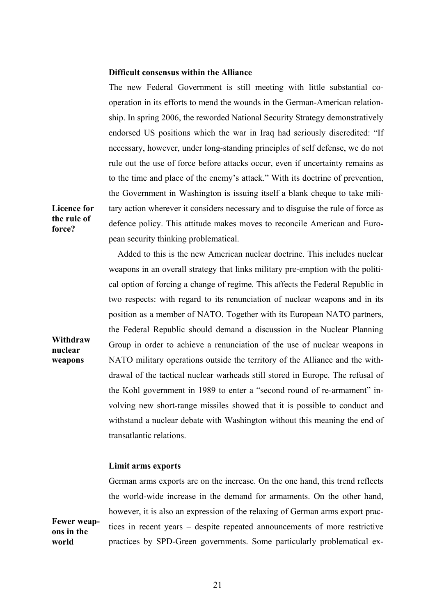#### **Difficult consensus within the Alliance**

The new Federal Government is still meeting with little substantial cooperation in its efforts to mend the wounds in the German-American relationship. In spring 2006, the reworded National Security Strategy demonstratively endorsed US positions which the war in Iraq had seriously discredited: "If necessary, however, under long-standing principles of self defense, we do not rule out the use of force before attacks occur, even if uncertainty remains as to the time and place of the enemy's attack." With its doctrine of prevention, the Government in Washington is issuing itself a blank cheque to take military action wherever it considers necessary and to disguise the rule of force as defence policy. This attitude makes moves to reconcile American and European security thinking problematical.

**Withdraw**  Added to this is the new American nuclear doctrine. This includes nuclear weapons in an overall strategy that links military pre-emption with the political option of forcing a change of regime. This affects the Federal Republic in two respects: with regard to its renunciation of nuclear weapons and in its position as a member of NATO. Together with its European NATO partners, the Federal Republic should demand a discussion in the Nuclear Planning Group in order to achieve a renunciation of the use of nuclear weapons in NATO military operations outside the territory of the Alliance and the withdrawal of the tactical nuclear warheads still stored in Europe. The refusal of the Kohl government in 1989 to enter a "second round of re-armament" involving new short-range missiles showed that it is possible to conduct and withstand a nuclear debate with Washington without this meaning the end of transatlantic relations.

#### **Limit arms exports**

German arms exports are on the increase. On the one hand, this trend reflects the world-wide increase in the demand for armaments. On the other hand, however, it is also an expression of the relaxing of German arms export practices in recent years – despite repeated announcements of more restrictive practices by SPD-Green governments. Some particularly problematical ex-

**Fewer weapons in the world**

**Licence for the rule of force?**

**nuclear weapons**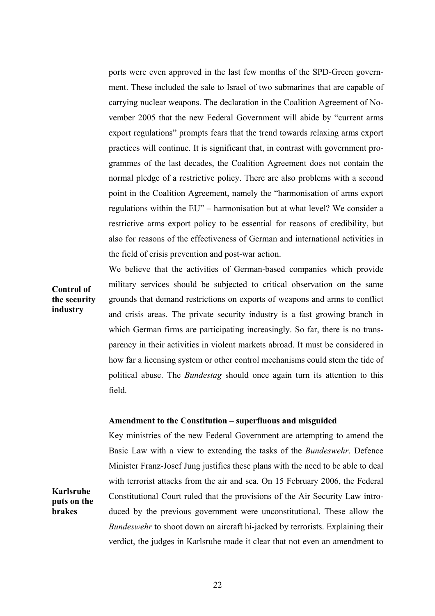ports were even approved in the last few months of the SPD-Green government. These included the sale to Israel of two submarines that are capable of carrying nuclear weapons. The declaration in the Coalition Agreement of November 2005 that the new Federal Government will abide by "current arms export regulations" prompts fears that the trend towards relaxing arms export practices will continue. It is significant that, in contrast with government programmes of the last decades, the Coalition Agreement does not contain the normal pledge of a restrictive policy. There are also problems with a second point in the Coalition Agreement, namely the "harmonisation of arms export regulations within the EU" – harmonisation but at what level? We consider a restrictive arms export policy to be essential for reasons of credibility, but also for reasons of the effectiveness of German and international activities in the field of crisis prevention and post-war action.

We believe that the activities of German-based companies which provide

**Control of the security industry** military services should be subjected to critical observation on the same grounds that demand restrictions on exports of weapons and arms to conflict and crisis areas. The private security industry is a fast growing branch in which German firms are participating increasingly. So far, there is no transparency in their activities in violent markets abroad. It must be considered in how far a licensing system or other control mechanisms could stem the tide of political abuse. The *Bundestag* should once again turn its attention to this

field.

### **Amendment to the Constitution – superfluous and misguided**

Key ministries of the new Federal Government are attempting to amend the Basic Law with a view to extending the tasks of the *Bundeswehr*. Defence Minister Franz-Josef Jung justifies these plans with the need to be able to deal with terrorist attacks from the air and sea. On 15 February 2006, the Federal Constitutional Court ruled that the provisions of the Air Security Law introduced by the previous government were unconstitutional. These allow the *Bundeswehr* to shoot down an aircraft hi-jacked by terrorists. Explaining their verdict, the judges in Karlsruhe made it clear that not even an amendment to

**Karlsruhe puts on the brakes**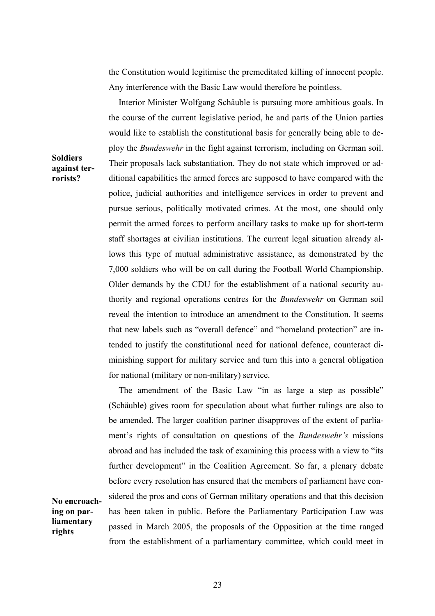the Constitution would legitimise the premeditated killing of innocent people. Any interference with the Basic Law would therefore be pointless.

Interior Minister Wolfgang Schäuble is pursuing more ambitious goals. In the course of the current legislative period, he and parts of the Union parties would like to establish the constitutional basis for generally being able to deploy the *Bundeswehr* in the fight against terrorism, including on German soil. Their proposals lack substantiation. They do not state which improved or additional capabilities the armed forces are supposed to have compared with the police, judicial authorities and intelligence services in order to prevent and pursue serious, politically motivated crimes. At the most, one should only permit the armed forces to perform ancillary tasks to make up for short-term staff shortages at civilian institutions. The current legal situation already allows this type of mutual administrative assistance, as demonstrated by the 7,000 soldiers who will be on call during the Football World Championship. Older demands by the CDU for the establishment of a national security authority and regional operations centres for the *Bundeswehr* on German soil reveal the intention to introduce an amendment to the Constitution. It seems that new labels such as "overall defence" and "homeland protection" are intended to justify the constitutional need for national defence, counteract diminishing support for military service and turn this into a general obligation for national (military or non-military) service.

The amendment of the Basic Law "in as large a step as possible" (Schäuble) gives room for speculation about what further rulings are also to be amended. The larger coalition partner disapproves of the extent of parliament's rights of consultation on questions of the *Bundeswehr's* missions abroad and has included the task of examining this process with a view to "its further development" in the Coalition Agreement. So far, a plenary debate before every resolution has ensured that the members of parliament have considered the pros and cons of German military operations and that this decision has been taken in public. Before the Parliamentary Participation Law was passed in March 2005, the proposals of the Opposition at the time ranged from the establishment of a parliamentary committee, which could meet in

## **Soldiers against terrorists?**

**No encroaching on parliamentary rights**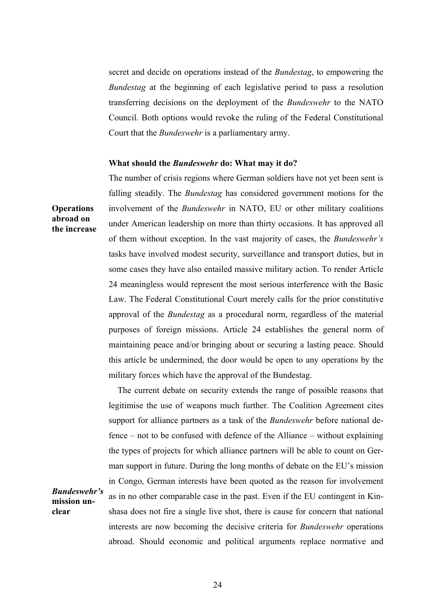secret and decide on operations instead of the *Bundestag*, to empowering the *Bundestag* at the beginning of each legislative period to pass a resolution transferring decisions on the deployment of the *Bundeswehr* to the NATO Council. Both options would revoke the ruling of the Federal Constitutional Court that the *Bundeswehr* is a parliamentary army.

#### **What should the** *Bundeswehr* **do: What may it do?**

The number of crisis regions where German soldiers have not yet been sent is falling steadily. The *Bundestag* has considered government motions for the involvement of the *Bundeswehr* in NATO, EU or other military coalitions under American leadership on more than thirty occasions. It has approved all of them without exception. In the vast majority of cases, the *Bundeswehr's* tasks have involved modest security, surveillance and transport duties, but in some cases they have also entailed massive military action. To render Article 24 meaningless would represent the most serious interference with the Basic Law. The Federal Constitutional Court merely calls for the prior constitutive approval of the *Bundestag* as a procedural norm, regardless of the material purposes of foreign missions. Article 24 establishes the general norm of maintaining peace and/or bringing about or securing a lasting peace. Should this article be undermined, the door would be open to any operations by the military forces which have the approval of the Bundestag.

The current debate on security extends the range of possible reasons that legitimise the use of weapons much further. The Coalition Agreement cites support for alliance partners as a task of the *Bundeswehr* before national defence – not to be confused with defence of the Alliance – without explaining the types of projects for which alliance partners will be able to count on German support in future. During the long months of debate on the EU's mission in Congo, German interests have been quoted as the reason for involvement

*Bundeswehr's*  **mission unclear**

**Operations abroad on the increase**

> as in no other comparable case in the past. Even if the EU contingent in Kinshasa does not fire a single live shot, there is cause for concern that national interests are now becoming the decisive criteria for *Bundeswehr* operations abroad. Should economic and political arguments replace normative and